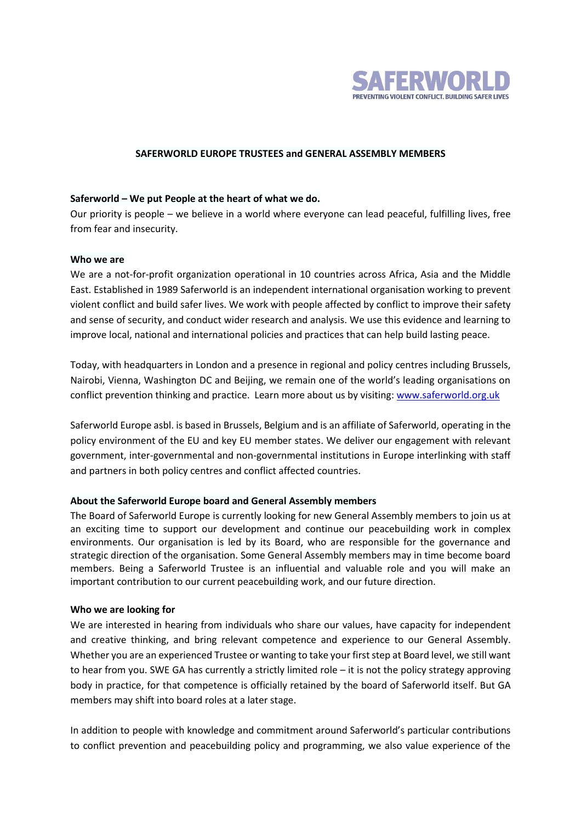

### **SAFERWORLD EUROPE TRUSTEES and GENERAL ASSEMBLY MEMBERS**

### **Saferworld – We put People at the heart of what we do.**

Our priority is people – we believe in a world where everyone can lead peaceful, fulfilling lives, free from fear and insecurity.

### **Who we are**

We are a not-for-profit organization operational in 10 countries across Africa, Asia and the Middle East. Established in 1989 Saferworld is an independent international organisation working to prevent violent conflict and build safer lives. We work with people affected by conflict to improve their safety and sense of security, and conduct wider research and analysis. We use this evidence and learning to improve local, national and international policies and practices that can help build lasting peace.

Today, with headquarters in London and a presence in regional and policy centres including Brussels, Nairobi, Vienna, Washington DC and Beijing, we remain one of the world's leading organisations on conflict prevention thinking and practice. Learn more about us by visiting: [www.saferworld.org.uk](http://www.saferworld.org.uk/)

Saferworld Europe asbl. is based in Brussels, Belgium and is an affiliate of Saferworld, operating in the policy environment of the EU and key EU member states. We deliver our engagement with relevant government, inter-governmental and non-governmental institutions in Europe interlinking with staff and partners in both policy centres and conflict affected countries.

# **About the Saferworld Europe board and General Assembly members**

The Board of Saferworld Europe is currently looking for new General Assembly members to join us at an exciting time to support our development and continue our peacebuilding work in complex environments. Our organisation is led by its Board, who are responsible for the governance and strategic direction of the organisation. Some General Assembly members may in time become board members. Being a Saferworld Trustee is an influential and valuable role and you will make an important contribution to our current peacebuilding work, and our future direction.

#### **Who we are looking for**

We are interested in hearing from individuals who share our values, have capacity for independent and creative thinking, and bring relevant competence and experience to our General Assembly. Whether you are an experienced Trustee or wanting to take your first step at Board level, we still want to hear from you. SWE GA has currently a strictly limited role – it is not the policy strategy approving body in practice, for that competence is officially retained by the board of Saferworld itself. But GA members may shift into board roles at a later stage.

In addition to people with knowledge and commitment around Saferworld's particular contributions to conflict prevention and peacebuilding policy and programming, we also value experience of the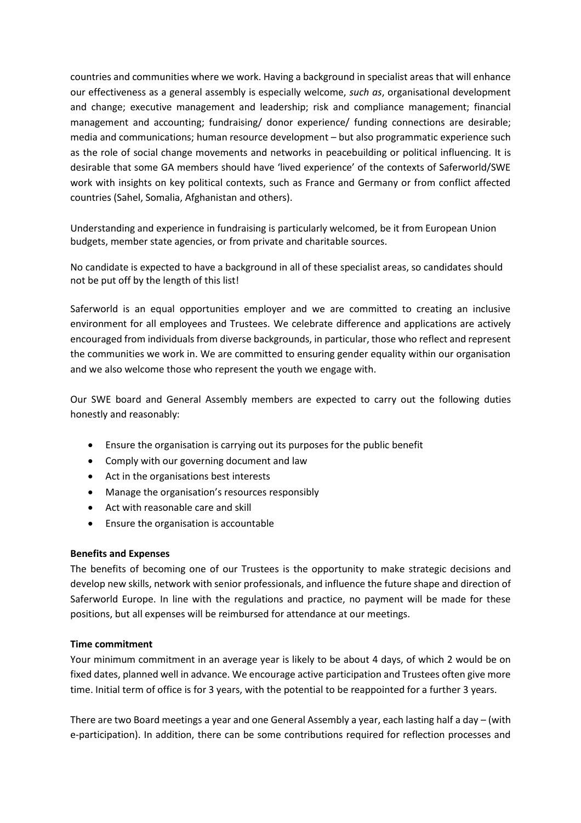countries and communities where we work. Having a background in specialist areas that will enhance our effectiveness as a general assembly is especially welcome, *such as*, organisational development and change; executive management and leadership; risk and compliance management; financial management and accounting; fundraising/ donor experience/ funding connections are desirable; media and communications; human resource development – but also programmatic experience such as the role of social change movements and networks in peacebuilding or political influencing. It is desirable that some GA members should have 'lived experience' of the contexts of Saferworld/SWE work with insights on key political contexts, such as France and Germany or from conflict affected countries (Sahel, Somalia, Afghanistan and others).

Understanding and experience in fundraising is particularly welcomed, be it from European Union budgets, member state agencies, or from private and charitable sources.

No candidate is expected to have a background in all of these specialist areas, so candidates should not be put off by the length of this list!

Saferworld is an equal opportunities employer and we are committed to creating an inclusive environment for all employees and Trustees. We celebrate difference and applications are actively encouraged from individuals from diverse backgrounds, in particular, those who reflect and represent the communities we work in. We are committed to ensuring gender equality within our organisation and we also welcome those who represent the youth we engage with.

Our SWE board and General Assembly members are expected to carry out the following duties honestly and reasonably:

- Ensure the organisation is carrying out its purposes for the public benefit
- Comply with our governing document and law
- Act in the organisations best interests
- Manage the organisation's resources responsibly
- Act with reasonable care and skill
- Ensure the organisation is accountable

# **Benefits and Expenses**

The benefits of becoming one of our Trustees is the opportunity to make strategic decisions and develop new skills, network with senior professionals, and influence the future shape and direction of Saferworld Europe. In line with the regulations and practice, no payment will be made for these positions, but all expenses will be reimbursed for attendance at our meetings.

# **Time commitment**

Your minimum commitment in an average year is likely to be about 4 days, of which 2 would be on fixed dates, planned well in advance. We encourage active participation and Trustees often give more time. Initial term of office is for 3 years, with the potential to be reappointed for a further 3 years.

There are two Board meetings a year and one General Assembly a year, each lasting half a day – (with e-participation). In addition, there can be some contributions required for reflection processes and